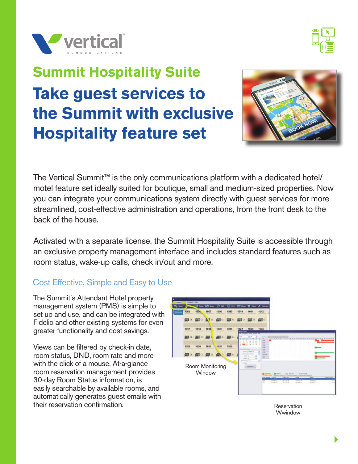



# **Summit Hospitality Suite Take guest services to the Summit with exclusive Hospitality feature set**



The Vertical Summit™ is the only communications platform with a dedicated hotel/ motel feature set ideally suited for boutique, small and medium-sized properties. Now you can integrate your communications system directly with guest services for more streamlined, cost-effective administration and operations, from the front desk to the back of the house.

Activated with a separate license, the Summit Hospitality Suite is accessible through an exclusive property management interface and includes standard features such as room status, wake-up calls, check in/out and more.

## Cost Effective, Simple and Easy to Use

The Summit's Attendant Hotel property management system (PMS) is simple to set up and use, and can be integrated with Fidelio and other existing systems for even greater functionality and cost savings.

Views can be filtered by check-in date, room status, DND, room rate and more with the click of a mouse. At-a-glance room reservation management provides 30-day Room Status information, is easily searchable by available rooms, and automatically generates guest emails with their reservation confirmation.



Reservation Wwindow